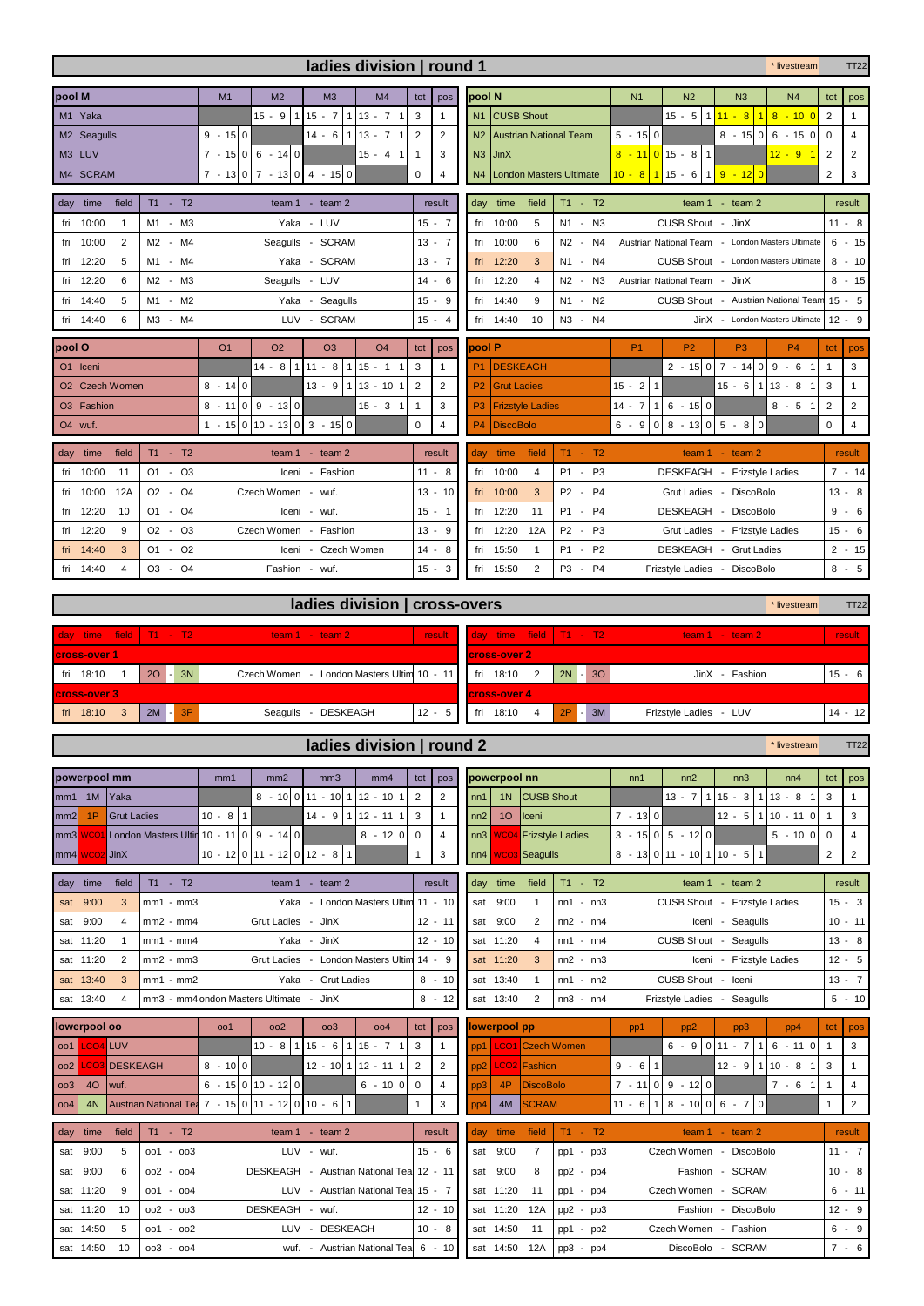| ladies division   round 1 |                                |                                |                |                                                             |                          |                             |                             |                       | * livestream                                                 |                                                                            |           |                                                      |                                |                                                                                         |                                                  |                | <b>TT22</b>    |
|---------------------------|--------------------------------|--------------------------------|----------------|-------------------------------------------------------------|--------------------------|-----------------------------|-----------------------------|-----------------------|--------------------------------------------------------------|----------------------------------------------------------------------------|-----------|------------------------------------------------------|--------------------------------|-----------------------------------------------------------------------------------------|--------------------------------------------------|----------------|----------------|
| pool M                    |                                |                                | M1             | M <sub>2</sub>                                              | M <sub>3</sub>           | M4                          | tot I                       | pos                   |                                                              | pool N                                                                     |           | N <sub>1</sub>                                       | N <sub>2</sub>                 | N <sub>3</sub>                                                                          | N <sub>4</sub>                                   | tot            | pos            |
| M1                        | <b>Yaka</b>                    |                                |                | $15 - 9$                                                    | $115 - 7$                | $113 - 7$<br>1 <sup>1</sup> | $\overline{3}$              | $\mathbf{1}$          |                                                              | N <sub>1</sub> CUSB Shout                                                  |           |                                                      |                                |                                                                                         | $15 - 5$ 1 $11 - 8$ 1 8 - 10 0                   | 2              | $\mathbf{1}$   |
|                           | M <sub>2</sub> Seagulls        |                                | $9 - 150$      |                                                             | $14 - 6$ 1 13 - 7        |                             | $1\overline{2}$             | $\mathbf{2}^{\prime}$ |                                                              | N <sub>2</sub> Austrian National Team                                      |           | $5 - 15 0$                                           |                                |                                                                                         | $8 - 15$ 0 6 - 15 0                              | $\Omega$       | $\overline{4}$ |
|                           | M3 LUV                         |                                |                | $7 - 15 \begin{vmatrix} 0 & 6 & -14 \end{vmatrix}$          |                          | $15 - 4$                    | 111                         | 3                     |                                                              | $N3$ JinX                                                                  |           |                                                      | $8 - 11$ 0 15 - 8 1            |                                                                                         | $12 - 9$                                         | $\overline{2}$ | $\overline{2}$ |
|                           | M4 SCRAM                       | $7 - 13 0 7 - 13 0 4 - 15 0 $  |                |                                                             |                          | $\mathbf 0$                 | $\overline{4}$              |                       | N4 London Masters Ultimate                                   |                                                                            |           | <mark>10 - 8 1</mark> 15 - 6 1 <mark>9 - 12 0</mark> |                                |                                                                                         | 2                                                | 3              |                |
|                           | field<br>day time<br>$T1 - T2$ |                                |                |                                                             | team $1 - \text{team 2}$ |                             |                             |                       |                                                              | field<br>day time                                                          | $T1 - T2$ |                                                      |                                |                                                                                         | result                                           |                |                |
| fri                       | 10:00<br>$\overline{1}$        | M1 - M3                        |                |                                                             | Yaka - LUV               |                             |                             | $15 - 7$              |                                                              | 10:00<br>fri<br>5                                                          | N1 - N3   |                                                      | CUSB Shout - JinX              |                                                                                         |                                                  |                | $11 - 8$       |
|                           | 2<br>fri 10:00                 | M2 - M4                        |                |                                                             | Seagulls - SCRAM         |                             |                             | $13 - 7$              |                                                              | 10:00<br>6<br>fri                                                          | N2 - N4   |                                                      |                                |                                                                                         | Austrian National Team - London Masters Ultimate |                | $6 - 15$       |
| fri                       | 12:20<br>5                     | Yaka - SCRAM<br>M1 - M4        |                |                                                             |                          |                             |                             | $13 - 7$              |                                                              | 12:20<br>fri<br>3<br>N1 - N4<br>CUSB Shout - London Masters Ultimate       |           |                                                      |                                |                                                                                         |                                                  |                | $8 - 10$       |
|                           | fri 12:20<br>6                 | M2 - M3<br>Seagulls - LUV      |                |                                                             |                          |                             |                             | $14 - 6$              |                                                              | 12:20<br>$\overline{4}$<br>N2 - N3<br>Austrian National Team - JinX<br>fri |           |                                                      |                                |                                                                                         |                                                  |                | $8 - 15$       |
|                           | 5<br>fri 14:40                 | Yaka - Seagulls<br>M1 - M2     |                |                                                             |                          |                             |                             | $15 - 9$              |                                                              | fri 14:40<br>9<br>N1 - N2<br>CUSB Shout - Austrian National Team 15 - 5    |           |                                                      |                                |                                                                                         |                                                  |                |                |
|                           | fri 14:40<br>6                 | M3 - M4<br>LUV - SCRAM         |                |                                                             |                          |                             | $15 - 4$                    |                       | fri 14:40<br>10<br>N3 - N4<br>JinX - London Masters Ultimate |                                                                            |           |                                                      |                                |                                                                                         |                                                  | $12 - 9$       |                |
| pool O                    |                                |                                | O <sub>1</sub> | <b>O<sub>2</sub></b>                                        | O <sub>3</sub>           | O <sub>4</sub>              | tot                         | pos                   |                                                              | <b>pool P</b><br>P <sub>1</sub><br><b>P2</b><br>P <sub>3</sub>             |           |                                                      |                                |                                                                                         |                                                  | tot            | pos            |
| O <sub>1</sub>            | Iceni                          |                                |                | $14 - 8$ 1 11 - 8                                           |                          | $115 - 1$                   | $1 \overline{\phantom{a}3}$ | $\mathbf{1}$          |                                                              | <b>DESKEAGH</b><br>P1                                                      |           |                                                      |                                | $2 - 15 \begin{bmatrix} 0 & 7 & -14 \end{bmatrix} \begin{bmatrix} 9 & -6 \end{bmatrix}$ | 1 <sup>1</sup>                                   | $\overline{1}$ | 3              |
| <b>O<sub>2</sub></b>      | Czech Women                    |                                | $8 - 140$      |                                                             | $13 - 9$ 1 13 - 10       |                             | $1\overline{2}$             | $\overline{2}$        |                                                              | P2<br><b>Grut Ladies</b>                                                   |           | $15 - 211$                                           |                                | $15 - 6$   1                                                                            | $13 - 8$<br>1 <sup>1</sup>                       | 3              | $\mathbf{1}$   |
|                           | O <sub>3</sub>   Fashion       |                                | $8 - 11$       | $0 \t9 - 13 \t0$                                            |                          | $15 - 3$<br>1 <sup>1</sup>  | $\overline{1}$              | 3                     |                                                              | P <sub>3</sub><br><b>Frizstyle Ladies</b>                                  |           | $14 - 7$                                             | $1 \ 6 - 15 \ 0$               |                                                                                         | $8 - 5$                                          | 2              | $\overline{2}$ |
| <b>O4</b>                 | wuf.                           |                                |                | $1 - 15 \cdot 0 \cdot 10 - 13 \cdot 0 \cdot 3 - 15 \cdot 0$ |                          |                             | $\mathbf 0$                 | 4                     |                                                              | P4<br>DiscoBolo                                                            |           | $6 - 9$                                              | $0 8 - 13 0 5 - 8 0 $          |                                                                                         |                                                  | 0              | $\overline{4}$ |
|                           | field<br>day time              | $T1 - T2$<br>team $1 - \tan 2$ |                |                                                             |                          |                             |                             | result                |                                                              | day time<br>field                                                          | $T1 - T2$ |                                                      |                                | team $1 - \text{team } 2$                                                               |                                                  |                | result         |
| fri                       | 10:00<br>11                    | $01 - 03$                      |                |                                                             | Iceni - Fashion          |                             |                             | $11 - 8$              |                                                              | fri<br>10:00<br>$\overline{4}$                                             | P1 - P3   |                                                      | DESKEAGH - Frizstyle Ladies    |                                                                                         |                                                  |                | $7 - 14$       |
| fri                       | 10:00<br>12A                   | O2 - O4                        |                | Czech Women - wuf.                                          |                          |                             |                             | $13 - 10$             |                                                              | fri 10:00<br>3                                                             | P2 - P4   |                                                      | Grut Ladies - DiscoBolo        |                                                                                         |                                                  |                | $13 - 8$       |
|                           | fri 12:20<br>10                | $O1 - O4$                      |                |                                                             | Iceni - wuf.             |                             |                             | $15 - 1$              |                                                              | 12:20<br>11<br>fri                                                         | P1 - P4   |                                                      | DESKEAGH - DiscoBolo           |                                                                                         |                                                  |                | $9 - 6$        |
|                           | fri 12:20<br>9                 | $O2 - O3$                      |                | Czech Women - Fashion                                       |                          |                             |                             | $13 - 9$              |                                                              | 12:20<br>fri<br>12A                                                        | P2 - P3   |                                                      | Grut Ladies - Frizstyle Ladies |                                                                                         |                                                  |                | $15 - 6$       |
|                           | 3<br>fri 14:40                 | $01 - 02$                      |                |                                                             | Iceni - Czech Women      |                             |                             | $14 - 8$              |                                                              | fri 15:50<br>$\overline{1}$                                                | P1 - P2   |                                                      | DESKEAGH - Grut Ladies         |                                                                                         |                                                  |                | $2 - 15$       |
|                           | $\overline{4}$<br>fri 14:40    | O3 - O4                        |                |                                                             | Fashion - wuf.           |                             |                             | $15 - 3$              |                                                              | $\overline{2}$<br>fri<br>15:50                                             | P3 - P4   |                                                      | Frizstyle Ladies - DiscoBolo   |                                                                                         |                                                  |                | $8 - 5$        |

**ladies division | cross-overs** \* late to the state of the stream TT22

 $\mathsf{r}$ 

| $\frac{1}{2}$ day time field $\frac{1}{2}$ T1 - T2 $\frac{1}{2}$ |    |    | team $1 - \text{team } 2$                  | result   |     | day time field T1 - T2 |                |    |           | $team 1 - team 2$      | result    |
|------------------------------------------------------------------|----|----|--------------------------------------------|----------|-----|------------------------|----------------|----|-----------|------------------------|-----------|
| <b>cross-over 1</b>                                              |    |    |                                            |          |     | <b>cross-over 2</b>    |                |    |           |                        |           |
| fri 18:10                                                        | 20 | 3N | Czech Women - London Masters Ultim 10 - 11 |          | fri | 18:10 2                |                |    | $2N - 30$ | JinX - Fashion         | $15 - 6$  |
| <b>cross-over 3</b>                                              |    |    |                                            |          |     | <b>cross-over 4</b>    |                |    |           |                        |           |
| 18:10<br>fri                                                     | 2M | 3P | Seagulls - DESKEAGH                        | $12 - 5$ | fri | 18:10                  | $\overline{4}$ | 2P | 3M        | Frizstyle Ladies - LUV | $14 - 12$ |

## **ladies division | round 2 and 1 livestream** TT22

|                                   | powerpool mm                                                                            |                                                         |                                                   | mm1                                                                                                                                                 | mm2                                      | mm3                                            | mm <sub>4</sub> |                        | tot       | pos                                                              |                                                                     | powerpool nn           |                     |                            | nn1                           | nn2                         | nn3                          | nn4                      | tot            | pos                |
|-----------------------------------|-----------------------------------------------------------------------------------------|---------------------------------------------------------|---------------------------------------------------|-----------------------------------------------------------------------------------------------------------------------------------------------------|------------------------------------------|------------------------------------------------|-----------------|------------------------|-----------|------------------------------------------------------------------|---------------------------------------------------------------------|------------------------|---------------------|----------------------------|-------------------------------|-----------------------------|------------------------------|--------------------------|----------------|--------------------|
| mm1                               | 1M                                                                                      | Yaka                                                    |                                                   |                                                                                                                                                     |                                          | $8 - 10011 - 10112 - 10$                       |                 | $\overline{2}$<br>1    |           | $\overline{2}$                                                   | nn1                                                                 | 1 <sub>N</sub>         | <b>CUSB Shout</b>   |                            |                               | $13 - 7$                    | $1 \ 15 - 3$<br>$\mathbf{1}$ | $13 - 8$                 | 3              | $\mathbf{1}$       |
| mm2                               | 1P                                                                                      | <b>Grut Ladies</b>                                      |                                                   | $10 - 8$<br>$\mathbf{1}$                                                                                                                            |                                          | $14 - 9$                                       | $12 - 11$       | 3<br>$\mathbf{1}$      |           | $\mathbf{1}$                                                     | nn2                                                                 | 10                     | Iceni               |                            | $7 - 13 0 $                   |                             | $12 - 5$<br>$\mathbf{1}$     | $10 - 11$<br>$\mathbf 0$ | $\overline{1}$ | 3                  |
|                                   | London Masters Ultir 10 - 11 0 9 - 14 0<br>WCO <sub>1</sub><br>mm <sub>3</sub>          |                                                         |                                                   |                                                                                                                                                     |                                          |                                                | $8 - 12 0 $     | $\overline{0}$         |           | $\overline{4}$                                                   | nn3                                                                 | <b>WCO</b>             |                     | <b>Frizstyle Ladies</b>    |                               | $3 - 15$   0   5 $- 12$   0 |                              | $5 - 10$<br>$\mathbf 0$  | $\Omega$       | $\overline{4}$     |
|                                   | <b>WCO2</b> JinX<br>mm4                                                                 |                                                         |                                                   |                                                                                                                                                     |                                          |                                                |                 | $\overline{1}$         |           | 3                                                                | nn4                                                                 | WCO:                   | Seagulls            |                            |                               | $8 - 13 0 11 - 10 1 10 - 5$ | $\overline{1}$               |                          | $\overline{2}$ | $\overline{2}$     |
|                                   |                                                                                         |                                                         |                                                   | $10 - 12 \begin{bmatrix} 0 \\ 11 \\ - 12 \end{bmatrix} 0 \begin{bmatrix} 12 \\ 0 \\ 12 \end{bmatrix} - 8 \begin{bmatrix} 1 \\ 1 \\ 1 \end{bmatrix}$ |                                          |                                                |                 |                        |           |                                                                  |                                                                     |                        |                     |                            |                               |                             |                              |                          |                |                    |
| $T1 - T2$<br>time<br>field<br>day |                                                                                         |                                                         |                                                   | team $1 - \tan 2$                                                                                                                                   |                                          |                                                |                 |                        |           | result                                                           | day                                                                 | time                   | field               | $T1 - T2$                  |                               |                             | result                       |                          |                |                    |
| sat                               | 9:00                                                                                    | Yaka - London Masters Ultim 11 - 10<br>3<br>$mm1 - mm3$ |                                                   |                                                                                                                                                     |                                          |                                                |                 |                        |           | sat                                                              | 9:00                                                                | $\mathbf{1}$           | $nn1 - nn3$         |                            | CUSB Shout - Frizstyle Ladies |                             |                              |                          | $15 - 3$       |                    |
| sat                               | 9:00                                                                                    | Grut Ladies - JinX<br>$mm2 - mm4$<br>4                  |                                                   |                                                                                                                                                     |                                          |                                                |                 | $12 - 11$              |           |                                                                  | 9:00<br>$\overline{2}$<br>Iceni - Seagulls<br>$nn2 - nn4$<br>sat    |                        |                     |                            |                               |                             |                              | $10 - 11$                |                |                    |
|                                   | sat 11:20                                                                               | Yaka - JinX<br>$\overline{1}$<br>$mm1 - mm4$            |                                                   |                                                                                                                                                     |                                          |                                                |                 | $12 - 10$              |           |                                                                  | sat 11:20<br>$\overline{4}$<br>CUSB Shout - Seagulls<br>$nn1 - nn4$ |                        |                     |                            | $13 - 8$                      |                             |                              |                          |                |                    |
|                                   | Grut Ladies - London Masters Ultim 14 - 9<br>sat 11:20<br>$mm2 - mm3$<br>$\overline{2}$ |                                                         |                                                   |                                                                                                                                                     |                                          |                                                |                 |                        |           | $nn2 - nn3$<br>Iceni - Frizstyle Ladies<br>sat 11:20<br>3        |                                                                     |                        |                     |                            |                               | $12 - 5$                    |                              |                          |                |                    |
|                                   | Yaka - Grut Ladies<br>sat 13:40<br>$\mathbf{3}$<br>$mm1 - mm2$                          |                                                         |                                                   |                                                                                                                                                     |                                          |                                                |                 | $8 - 10$               |           | CUSB Shout - Iceni<br>sat 13:40<br>$\overline{1}$<br>$nn1 - nn2$ |                                                                     |                        |                     |                            |                               | $13 - 7$                    |                              |                          |                |                    |
|                                   | sat 13:40                                                                               | 4                                                       |                                                   | mm3 - mm4 ondon Masters Ultimate - JinX                                                                                                             |                                          |                                                |                 |                        |           | $8 - 12$                                                         |                                                                     | sat 13:40              | $\overline{2}$      | $nn3 - nn4$                | Frizstyle Ladies - Seagulls   |                             |                              |                          |                | $5 - 10$           |
|                                   |                                                                                         |                                                         |                                                   |                                                                                                                                                     |                                          |                                                |                 |                        |           |                                                                  |                                                                     |                        |                     |                            |                               |                             |                              |                          |                |                    |
|                                   |                                                                                         |                                                         |                                                   | 001                                                                                                                                                 | 002                                      | 003                                            | 004             |                        | tot       | <b>DOS</b>                                                       |                                                                     |                        |                     |                            | pp1                           | pp <sub>2</sub>             |                              | pp4                      | tot            | pos                |
| 001                               | lowerpool oo<br><b>LCO4</b> LUV                                                         |                                                         |                                                   |                                                                                                                                                     | $10 - 8$<br>$\mathbf{1}$                 | $15 - 6$                                       | $115 - 7$       | 3<br>1                 |           | $\mathbf{1}$                                                     | pp1                                                                 | lowerpool pp           |                     | LCO1 Czech Women           |                               | $6 - 9$ 0 11 - 7            | pp3<br>$\mathbf{1}$          | $6 - 110$                | $\mathbf{1}$   | 3                  |
| 002                               |                                                                                         | <b>LCO3</b> DESKEAGH                                    |                                                   | $8 - 1000$                                                                                                                                          |                                          | $12 - 10 \mid 1 \mid 12 - 11 \mid$             |                 | $\overline{2}$<br>11   |           | $\overline{2}$                                                   | pp <sub>2</sub>                                                     |                        | <b>LCO2</b> Fashion |                            | $\mathbf{1}$<br>$9 - 6$       |                             | $12 - 9$<br>$\mathbf{1}$     | $10 - 8$                 | 3              | $\mathbf{1}$       |
| 0 <sub>0</sub> 3                  | 40 <sup>°</sup>                                                                         | wuf.                                                    |                                                   |                                                                                                                                                     | $6 - 15 \cdot 0 \cdot 10 - 12 \cdot 0$   |                                                | $6 - 10$        | $\circ$<br>$\mathbf 0$ |           | 4                                                                | pp3                                                                 | 4P                     | DiscoBolo           |                            |                               | $7 - 1109 - 120$            |                              | $7 - 6$                  | $\overline{1}$ | $\overline{4}$     |
| 004                               | 4N                                                                                      |                                                         | Austrian National Tea 7 - 15 0 11 - 12 0 10 - 6 1 |                                                                                                                                                     |                                          |                                                |                 | $\overline{1}$         |           | 3                                                                | pp4                                                                 | 4M                     | <b>SCRAM</b>        |                            | $11 - 6$                      | $8 - 1006 - 70$             |                              |                          | $\overline{1}$ | $\overline{2}$     |
|                                   |                                                                                         |                                                         |                                                   |                                                                                                                                                     |                                          |                                                |                 |                        |           |                                                                  |                                                                     |                        |                     |                            |                               |                             |                              |                          |                |                    |
| day                               | time                                                                                    | field                                                   | $T1 - T2$                                         |                                                                                                                                                     |                                          | team $1 - \text{team } 2$                      |                 |                        |           | result                                                           | day                                                                 | time                   | field               | $T1 - T2$                  |                               |                             | team $1 - \text{team } 2$    |                          |                | result             |
| sat                               | 9:00                                                                                    | 5                                                       | $001 - 003$                                       |                                                                                                                                                     |                                          | LUV - wuf.                                     |                 |                        | $15 - 6$  |                                                                  | sat                                                                 | 9:00                   | $\overline{7}$      | pp1 -<br>pp3               |                               | Czech Women - DiscoBolo     |                              |                          |                | $11 - 7$           |
| sat                               | 9:00                                                                                    | 6                                                       | $002 - 004$                                       |                                                                                                                                                     | DESKEAGH - Austrian National Tea 12 - 11 |                                                |                 |                        |           |                                                                  | sat                                                                 | 9:00                   | 8                   | $pp2 -$<br>pp4             |                               |                             | Fashion - SCRAM              |                          |                | $10 - 8$           |
|                                   | sat 11:20                                                                               | 9                                                       | $001 - 004$                                       |                                                                                                                                                     |                                          | LUV - Austrian National Tea 15 - 7             |                 |                        |           |                                                                  |                                                                     | sat 11:20              | 11                  | $pp1 - pp4$                |                               | Czech Women - SCRAM         |                              |                          |                | $6 - 11$           |
|                                   | sat 11:20                                                                               | 10                                                      | $002 - 003$                                       |                                                                                                                                                     | DESKEAGH - wuf.                          |                                                |                 |                        | $12 - 10$ |                                                                  |                                                                     | sat 11:20              | 12A                 | $pp2 - pp3$                |                               |                             | Fashion - DiscoBolo          |                          |                | $12 - 9$           |
|                                   | sat 14:50<br>sat 14:50                                                                  | 5<br>10                                                 | $001 - 002$<br>$003 - 004$                        |                                                                                                                                                     |                                          | LUV - DESKEAGH<br>wuf. - Austrian National Tea |                 |                        | $10 - 8$  | $6 - 10$                                                         |                                                                     | sat 14:50<br>sat 14:50 | 11<br>12A           | $pp1 - pp2$<br>$pp3 - pp4$ |                               | Czech Women - Fashion       | DiscoBolo - SCRAM            |                          |                | $6 - 9$<br>$7 - 6$ |